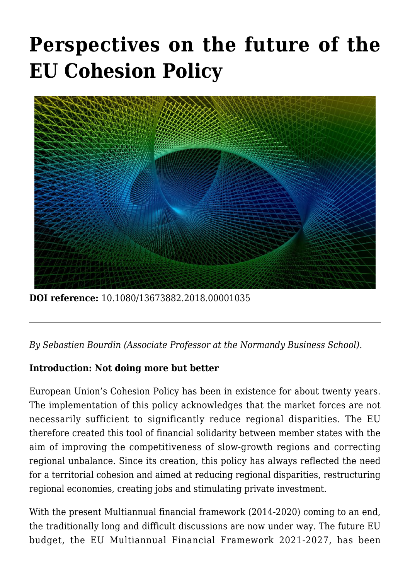# **[Perspectives on the future of the](https://regions.regionalstudies.org/ezine/article/perspectives-on-the-future-of-the-eu-cohesion-policy-not-doing-more-but-better/?doi=10.1080/13673882.2018.00001035) [EU Cohesion Policy](https://regions.regionalstudies.org/ezine/article/perspectives-on-the-future-of-the-eu-cohesion-policy-not-doing-more-but-better/?doi=10.1080/13673882.2018.00001035)**



**DOI reference:** 10.1080/13673882.2018.00001035

*By [Sebastien Bourdin](https://sebastienbourdin.com/) (Associate Professor at the Normandy Business School).*

## **Introduction: Not doing more but better**

European Union's Cohesion Policy has been in existence for about twenty years. The implementation of this policy acknowledges that the market forces are not necessarily sufficient to significantly reduce regional disparities. The EU therefore created this tool of financial solidarity between member states with the aim of improving the competitiveness of slow-growth regions and correcting regional unbalance. Since its creation, this policy has always reflected the need for a territorial cohesion and aimed at reducing regional disparities, restructuring regional economies, creating jobs and stimulating private investment.

With the present [Multiannual financial framework \(2014-2020\)](https://www.consilium.europa.eu/en/policies/eu-budgetary-system/multiannual-financial-framework/mff-2014-2020/) coming to an end, the traditionally long and difficult discussions are now under way. The future EU budget, the [EU Multiannual Financial Framework 2021-2027,](https://www.consilium.europa.eu/en/policies/eu-budgetary-system/multiannual-financial-framework/mff-negotiations/) has been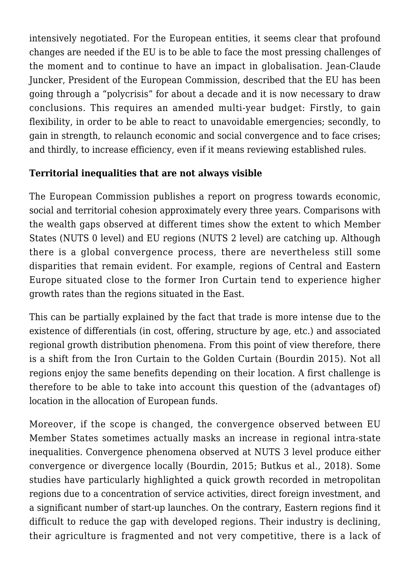intensively negotiated. For the European entities, it seems clear that profound changes are needed if the EU is to be able to face the most pressing challenges of the moment and to continue to have an impact in globalisation. [Jean-Claude](https://ec.europa.eu/commission/commissioners/2014-2019/president_en) [Juncker,](https://ec.europa.eu/commission/commissioners/2014-2019/president_en) President of the European Commission, described that the EU has been going through a "polycrisis" for about a decade and it is now necessary to draw conclusions. This requires an amended multi-year budget: Firstly, to gain flexibility, in order to be able to react to unavoidable emergencies; secondly, to gain in strength, to relaunch economic and social convergence and to face crises; and thirdly, to increase efficiency, even if it means reviewing established rules.

# **Territorial inequalities that are not always visible**

The European Commission publishes a report on progress towards economic, social and territorial cohesion approximately every three years. Comparisons with the wealth gaps observed at different times show the extent to which Member States (NUTS 0 level) and EU regions (NUTS 2 level) are catching up. Although there is a global convergence process, there are nevertheless still some disparities that remain evident. For example, regions of Central and Eastern Europe situated close to the former Iron Curtain tend to experience higher growth rates than the regions situated in the East.

This can be partially explained by the fact that trade is more intense due to the existence of differentials (in cost, offering, structure by age, etc.) and associated regional growth distribution phenomena. From this point of view therefore, there is a shift from the Iron Curtain to the Golden Curtain (Bourdin 2015). Not all regions enjoy the same benefits depending on their location. A first challenge is therefore to be able to take into account this question of the (advantages of) location in the allocation of European funds.

Moreover, if the scope is changed, the convergence observed between EU Member States sometimes actually masks an increase in regional intra-state inequalities. Convergence phenomena observed at NUTS 3 level produce either convergence or divergence locally (Bourdin, 2015; Butkus et al., 2018). Some studies have particularly highlighted a quick growth recorded in metropolitan regions due to a concentration of service activities, direct foreign investment, and a significant number of start-up launches. On the contrary, Eastern regions find it difficult to reduce the gap with developed regions. Their industry is declining, their agriculture is fragmented and not very competitive, there is a lack of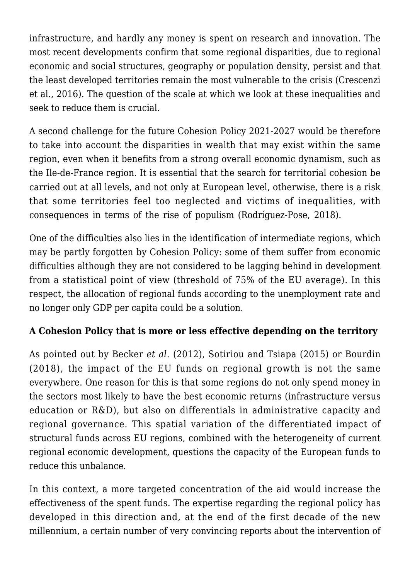infrastructure, and hardly any money is spent on research and innovation. The most recent developments confirm that some regional disparities, due to regional economic and social structures, geography or population density, persist and that the least developed territories remain the most vulnerable to the crisis (Crescenzi et al., 2016). The question of the scale at which we look at these inequalities and seek to reduce them is crucial.

A second challenge for the future Cohesion Policy 2021-2027 would be therefore to take into account the disparities in wealth that may exist within the same region, even when it benefits from a strong overall economic dynamism, such as the Ile-de-France region. It is essential that the search for territorial cohesion be carried out at all levels, and not only at European level, otherwise, there is a risk that some territories feel too neglected and victims of inequalities, with consequences in terms of the rise of populism (Rodríguez-Pose, 2018).

One of the difficulties also lies in the identification of intermediate regions, which may be partly forgotten by Cohesion Policy: some of them suffer from economic difficulties although they are not considered to be lagging behind in development from a statistical point of view (threshold of 75% of the EU average). In this respect, the allocation of regional funds according to the unemployment rate and no longer only GDP per capita could be a solution.

## **A Cohesion Policy that is more or less effective depending on the territory**

As pointed out by Becker *et al*. (2012), Sotiriou and Tsiapa (2015) or Bourdin (2018), the impact of the EU funds on regional growth is not the same everywhere. One reason for this is that some regions do not only spend money in the sectors most likely to have the best economic returns (infrastructure versus education or R&D), but also on differentials in administrative capacity and regional governance. This spatial variation of the differentiated impact of structural funds across EU regions, combined with the heterogeneity of current regional economic development, questions the capacity of the European funds to reduce this unbalance.

In this context, a more targeted concentration of the aid would increase the effectiveness of the spent funds. The expertise regarding the regional policy has developed in this direction and, at the end of the first decade of the new millennium, a certain number of very convincing reports about the intervention of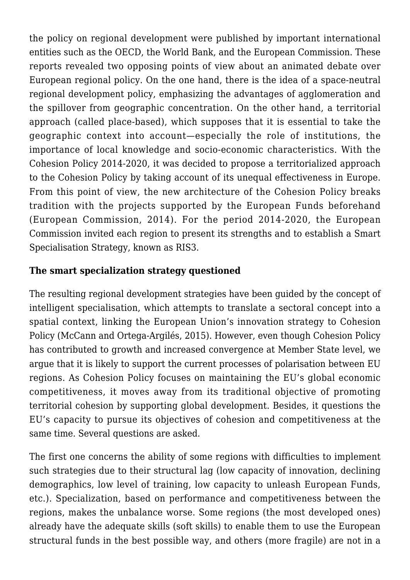the policy on regional development were published by important international entities such as the [OECD](https://www.oecd.org/), the [World Bank,](https://www.worldbank.org/) and the European Commission. These reports revealed two opposing points of view about an animated debate over European regional policy. On the one hand, there is the idea of a space-neutral regional development policy, emphasizing the advantages of agglomeration and the spillover from geographic concentration. On the other hand, a territorial approach (called place-based), which supposes that it is essential to take the geographic context into account—especially the role of institutions, the importance of local knowledge and socio-economic characteristics. With the Cohesion Policy 2014-2020, it was decided to propose a territorialized approach to the Cohesion Policy by taking account of its unequal effectiveness in Europe. From this point of view, the new architecture of the Cohesion Policy breaks tradition with the projects supported by the European Funds beforehand (European Commission, 2014). For the period 2014-2020, the European Commission invited each region to present its strengths and to establish a [Smart](http://s3platform.jrc.ec.europa.eu/) [Specialisation Strategy,](http://s3platform.jrc.ec.europa.eu/) known as RIS3.

#### **The smart specialization strategy questioned**

The resulting regional development strategies have been guided by the concept of intelligent specialisation, which attempts to translate a sectoral concept into a spatial context, linking the European Union's innovation strategy to Cohesion Policy (McCann and Ortega-Argilés, 2015). However, even though Cohesion Policy has contributed to growth and increased convergence at Member State level, we argue that it is likely to support the current processes of polarisation between EU regions. As Cohesion Policy focuses on maintaining the EU's global economic competitiveness, it moves away from its traditional objective of promoting territorial cohesion by supporting global development. Besides, it questions the EU's capacity to pursue its objectives of cohesion and competitiveness at the same time. Several questions are asked.

The first one concerns the ability of some regions with difficulties to implement such strategies due to their structural lag (low capacity of innovation, declining demographics, low level of training, low capacity to unleash European Funds, etc.). Specialization, based on performance and competitiveness between the regions, makes the unbalance worse. Some regions (the most developed ones) already have the adequate skills (soft skills) to enable them to use the European structural funds in the best possible way, and others (more fragile) are not in a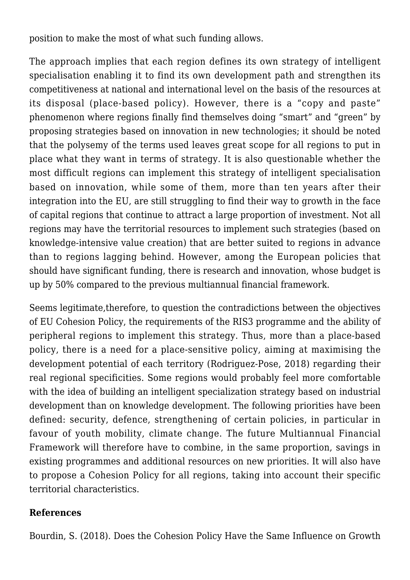position to make the most of what such funding allows.

The approach implies that each region defines its own strategy of intelligent specialisation enabling it to find its own development path and strengthen its competitiveness at national and international level on the basis of the resources at its disposal (place-based policy). However, there is a "copy and paste" phenomenon where regions finally find themselves doing "smart" and "green" by proposing strategies based on innovation in new technologies; it should be noted that the polysemy of the terms used leaves great scope for all regions to put in place what they want in terms of strategy. It is also questionable whether the most difficult regions can implement this strategy of intelligent specialisation based on innovation, while some of them, more than ten years after their integration into the EU, are still struggling to find their way to growth in the face of capital regions that continue to attract a large proportion of investment. Not all regions may have the territorial resources to implement such strategies (based on knowledge-intensive value creation) that are better suited to regions in advance than to regions lagging behind. However, among the European policies that should have significant funding, there is research and innovation, whose budget is up by 50% compared to the previous multiannual financial framework.

Seems legitimate,therefore, to question the contradictions between the objectives of EU Cohesion Policy, the requirements of the RIS3 programme and the ability of peripheral regions to implement this strategy. Thus, more than a place-based policy, there is a need for a place-sensitive policy, aiming at maximising the development potential of each territory (Rodriguez-Pose, 2018) regarding their real regional specificities. Some regions would probably feel more comfortable with the idea of building an intelligent specialization strategy based on industrial development than on knowledge development. The following priorities have been defined: security, defence, strengthening of certain policies, in particular in favour of youth mobility, climate change. The future Multiannual Financial Framework will therefore have to combine, in the same proportion, savings in existing programmes and additional resources on new priorities. It will also have to propose a Cohesion Policy for all regions, taking into account their specific territorial characteristics.

#### **References**

Bourdin, S. (2018). Does the Cohesion Policy Have the Same Influence on Growth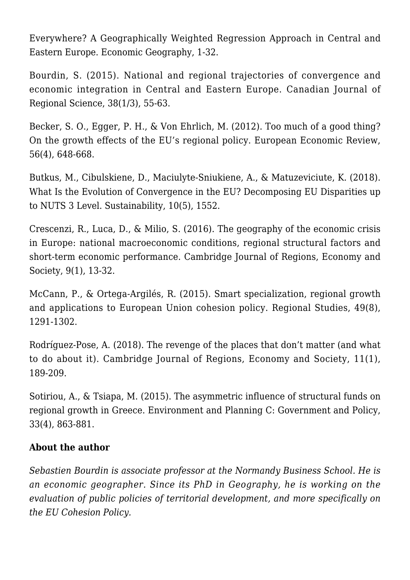Everywhere? A Geographically Weighted Regression Approach in Central and Eastern Europe. Economic Geography, 1-32.

Bourdin, S. (2015). National and regional trajectories of convergence and economic integration in Central and Eastern Europe. Canadian Journal of Regional Science, 38(1/3), 55-63.

Becker, S. O., Egger, P. H., & Von Ehrlich, M. (2012). Too much of a good thing? On the growth effects of the EU's regional policy. European Economic Review, 56(4), 648-668.

Butkus, M., Cibulskiene, D., Maciulyte-Sniukiene, A., & Matuzeviciute, K. (2018). What Is the Evolution of Convergence in the EU? Decomposing EU Disparities up to NUTS 3 Level. Sustainability, 10(5), 1552.

Crescenzi, R., Luca, D., & Milio, S. (2016). The geography of the economic crisis in Europe: national macroeconomic conditions, regional structural factors and short-term economic performance. Cambridge Journal of Regions, Economy and Society, 9(1), 13-32.

McCann, P., & Ortega-Argilés, R. (2015). Smart specialization, regional growth and applications to European Union cohesion policy. Regional Studies, 49(8), 1291-1302.

Rodríguez-Pose, A. (2018). The revenge of the places that don't matter (and what to do about it). Cambridge Journal of Regions, Economy and Society, 11(1), 189-209.

Sotiriou, A., & Tsiapa, M. (2015). The asymmetric influence of structural funds on regional growth in Greece. Environment and Planning C: Government and Policy, 33(4), 863-881.

## **About the author**

*Sebastien Bourdin is associate professor at the Normandy Business School. He is an economic geographer. Since its PhD in Geography, he is working on the evaluation of public policies of territorial development, and more specifically on the EU Cohesion Policy.*